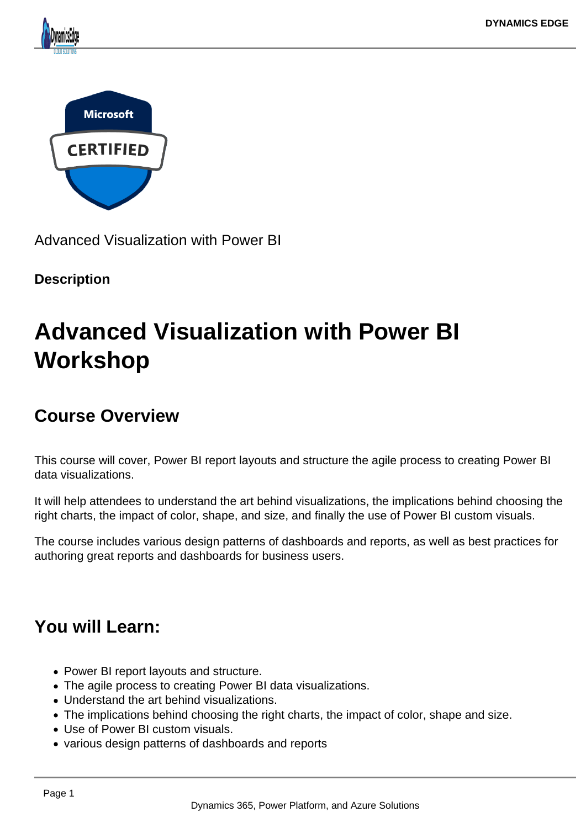



Advanced Visualization with Power BI

#### **Description**

# **Advanced Visualization with Power BI Workshop**

## **Course Overview**

This course will cover, Power BI report layouts and structure the agile process to creating Power BI data visualizations.

It will help attendees to understand the art behind visualizations, the implications behind choosing the right charts, the impact of color, shape, and size, and finally the use of Power BI custom visuals.

The course includes various design patterns of dashboards and reports, as well as best practices for authoring great reports and dashboards for business users.

## **You will Learn:**

- Power BI report layouts and structure.
- The agile process to creating Power BI data visualizations.
- Understand the art behind visualizations.
- The implications behind choosing the right charts, the impact of color, shape and size.
- Use of Power BI custom visuals.
- various design patterns of dashboards and reports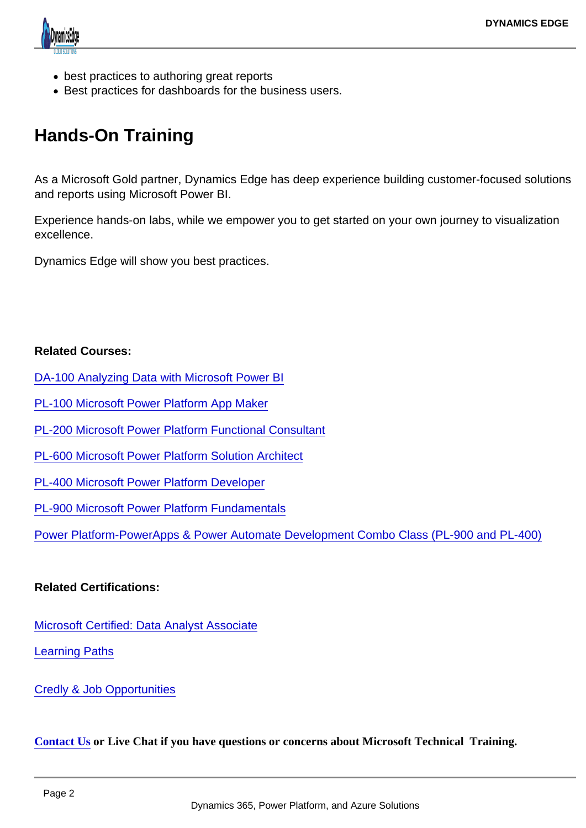- best practices to authoring great reports
- Best practices for dashboards for the business users.

### Hands-On Training

As a Microsoft Gold partner, Dynamics Edge has deep experience building customer-focused solutions and reports using Microsoft Power BI.

Experience hands-on labs, while we empower you to get started on your own journey to visualization excellence.

Dynamics Edge will show you best practices.

Related Courses:

- [DA-100 Analyzing Data with Microsoft Power BI](https://www.dynamicsedge.com/product/da-100-analyzing-data-with-power-bi/)
- [PL-100 Microsoft Power Platform App Maker](https://www.dynamicsedge.com/product/citizen-developer-power-platform-app-maker-for-government-analysts-pl-100/)
- [PL-200 Microsoft Power Platform Functional Consultant](https://www.dynamicsedge.com/product/pl-200-power-platform-developer-and-consultant/)
- [PL-600 Microsoft Power Platform Solution Architect](https://www.dynamicsedge.com/product/pl-600-power-platform-solution-architect/)
- [PL-400 Microsoft Power Platform Developer](https://www.dynamicsedge.com/product/pl-400-power-platform-advanced-developer-with-visual-studio/)
- [PL-900 Microsoft Power Platform Fundamentals](https://www.dynamicsedge.com/product/pl-900-microsoft-power-platform-fundamentals/)

[Power Platform-PowerApps & Power Automate Development Combo Class \(PL-900 and PL-400\)](https://www.dynamicsedge.com/product/power-platform-powerapps-power-automate-development-combo-class-pl-900-and-pl-400/)

Related Certifications:

[Microsoft Certified: Data Analyst Associate](https://docs.microsoft.com/en-us/learn/certifications/data-analyst-associate/)

[Learning Paths](https://docs.microsoft.com/en-us/learn/paths/data-analytics-microsoft/)

[Credly & Job Opportunities](https://www.credly.com/org/microsoft-certification/badge/microsoft-certified-data-analyst-associate.1)

[Contact Us](https://staging-dynamicsedgeseo.kinsta.cloud/contact) or Live Chat if you have questions or concerns about Microsoft Technical Training.